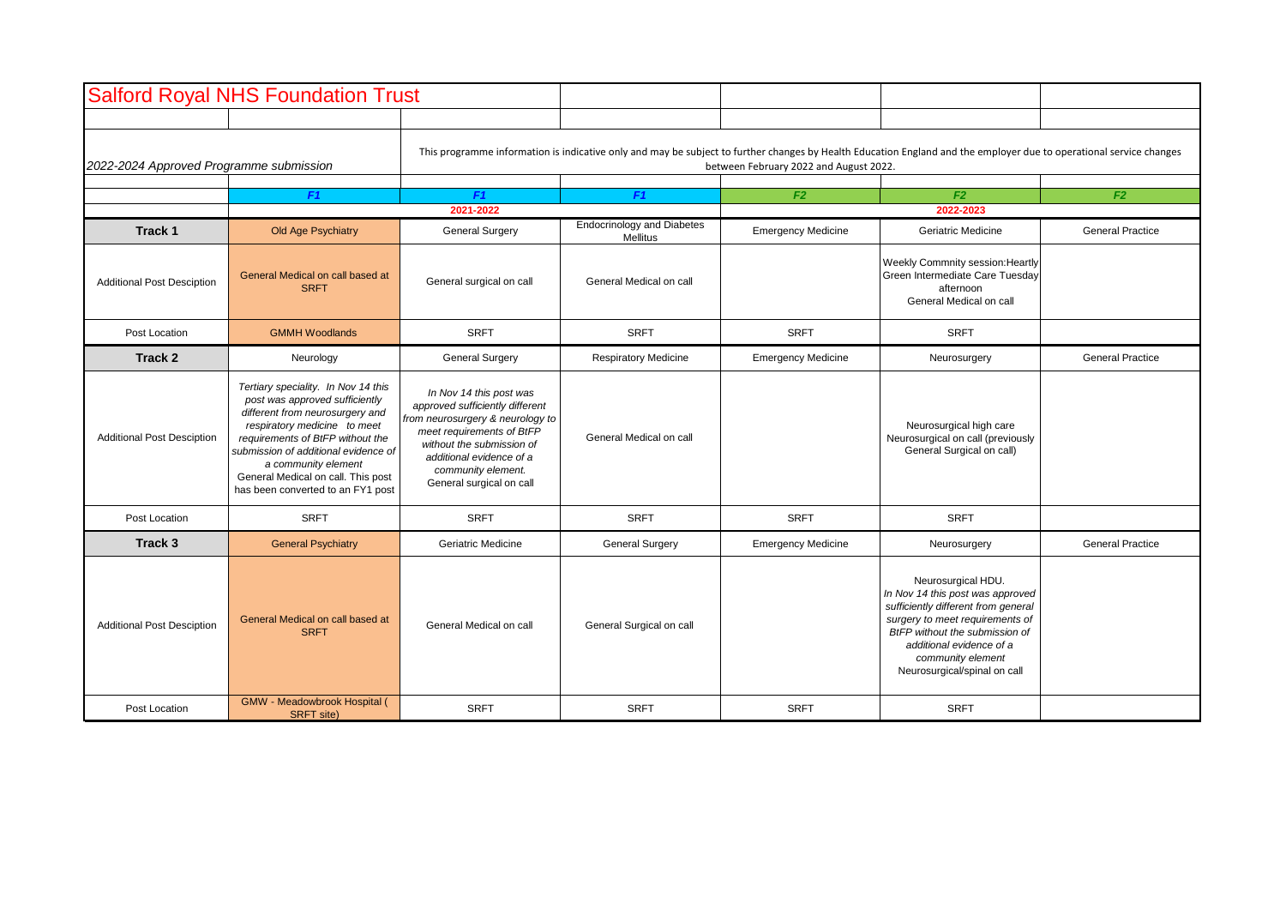|                                         | <b>Salford Royal NHS Foundation Trust</b>                                                                                                                                                                                                                                                                              |                                                                                                                                                                                                                                        |                                               |                           |                                                                                                                                                                                                                                                     |                         |  |
|-----------------------------------------|------------------------------------------------------------------------------------------------------------------------------------------------------------------------------------------------------------------------------------------------------------------------------------------------------------------------|----------------------------------------------------------------------------------------------------------------------------------------------------------------------------------------------------------------------------------------|-----------------------------------------------|---------------------------|-----------------------------------------------------------------------------------------------------------------------------------------------------------------------------------------------------------------------------------------------------|-------------------------|--|
|                                         |                                                                                                                                                                                                                                                                                                                        |                                                                                                                                                                                                                                        |                                               |                           |                                                                                                                                                                                                                                                     |                         |  |
| 2022-2024 Approved Programme submission |                                                                                                                                                                                                                                                                                                                        | This programme information is indicative only and may be subject to further changes by Health Education England and the employer due to operational service changes<br>between February 2022 and August 2022.                          |                                               |                           |                                                                                                                                                                                                                                                     |                         |  |
|                                         |                                                                                                                                                                                                                                                                                                                        |                                                                                                                                                                                                                                        |                                               |                           |                                                                                                                                                                                                                                                     |                         |  |
|                                         | F <sub>1</sub>                                                                                                                                                                                                                                                                                                         | F <sub>1</sub><br>2021-2022                                                                                                                                                                                                            | F <sub>1</sub>                                | F2                        | F <sub>2</sub><br>2022-2023                                                                                                                                                                                                                         | F <sub>2</sub>          |  |
| Track <sub>1</sub>                      | Old Age Psychiatry                                                                                                                                                                                                                                                                                                     | <b>General Surgery</b>                                                                                                                                                                                                                 | <b>Endocrinology and Diabetes</b><br>Mellitus | <b>Emergency Medicine</b> | Geriatric Medicine                                                                                                                                                                                                                                  | <b>General Practice</b> |  |
| <b>Additional Post Desciption</b>       | General Medical on call based at<br><b>SRFT</b>                                                                                                                                                                                                                                                                        | General surgical on call                                                                                                                                                                                                               | General Medical on call                       |                           | Weekly Commnity session: Heartly<br>Green Intermediate Care Tuesday<br>afternoon<br>General Medical on call                                                                                                                                         |                         |  |
| Post Location                           | <b>GMMH Woodlands</b>                                                                                                                                                                                                                                                                                                  | <b>SRFT</b>                                                                                                                                                                                                                            | <b>SRFT</b>                                   | <b>SRFT</b>               | <b>SRFT</b>                                                                                                                                                                                                                                         |                         |  |
| Track 2                                 | Neurology                                                                                                                                                                                                                                                                                                              | <b>General Surgery</b>                                                                                                                                                                                                                 | <b>Respiratory Medicine</b>                   | <b>Emergency Medicine</b> | Neurosurgery                                                                                                                                                                                                                                        | <b>General Practice</b> |  |
| <b>Additional Post Desciption</b>       | Tertiary speciality. In Nov 14 this<br>post was approved sufficiently<br>different from neurosurgery and<br>respiratory medicine to meet<br>requirements of BtFP without the<br>submission of additional evidence of<br>a community element<br>General Medical on call. This post<br>has been converted to an FY1 post | In Nov 14 this post was<br>approved sufficiently different<br>from neurosurgery & neurology to<br>meet requirements of BtFP<br>without the submission of<br>additional evidence of a<br>community element.<br>General surgical on call | General Medical on call                       |                           | Neurosurgical high care<br>Neurosurgical on call (previously<br>General Surgical on call)                                                                                                                                                           |                         |  |
| Post Location                           | <b>SRFT</b>                                                                                                                                                                                                                                                                                                            | <b>SRFT</b>                                                                                                                                                                                                                            | <b>SRFT</b>                                   | <b>SRFT</b>               | <b>SRFT</b>                                                                                                                                                                                                                                         |                         |  |
| Track 3                                 | <b>General Psychiatry</b>                                                                                                                                                                                                                                                                                              | Geriatric Medicine                                                                                                                                                                                                                     | <b>General Surgery</b>                        | <b>Emergency Medicine</b> | Neurosurgery                                                                                                                                                                                                                                        | <b>General Practice</b> |  |
| <b>Additional Post Desciption</b>       | General Medical on call based at<br><b>SRFT</b>                                                                                                                                                                                                                                                                        | General Medical on call                                                                                                                                                                                                                | General Surgical on call                      |                           | Neurosurgical HDU.<br>In Nov 14 this post was approved<br>sufficiently different from general<br>surgery to meet requirements of<br>BtFP without the submission of<br>additional evidence of a<br>community element<br>Neurosurgical/spinal on call |                         |  |
| Post Location                           | GMW - Meadowbrook Hospital (<br><b>SRFT</b> site)                                                                                                                                                                                                                                                                      | <b>SRFT</b>                                                                                                                                                                                                                            | <b>SRFT</b>                                   | <b>SRFT</b>               | <b>SRFT</b>                                                                                                                                                                                                                                         |                         |  |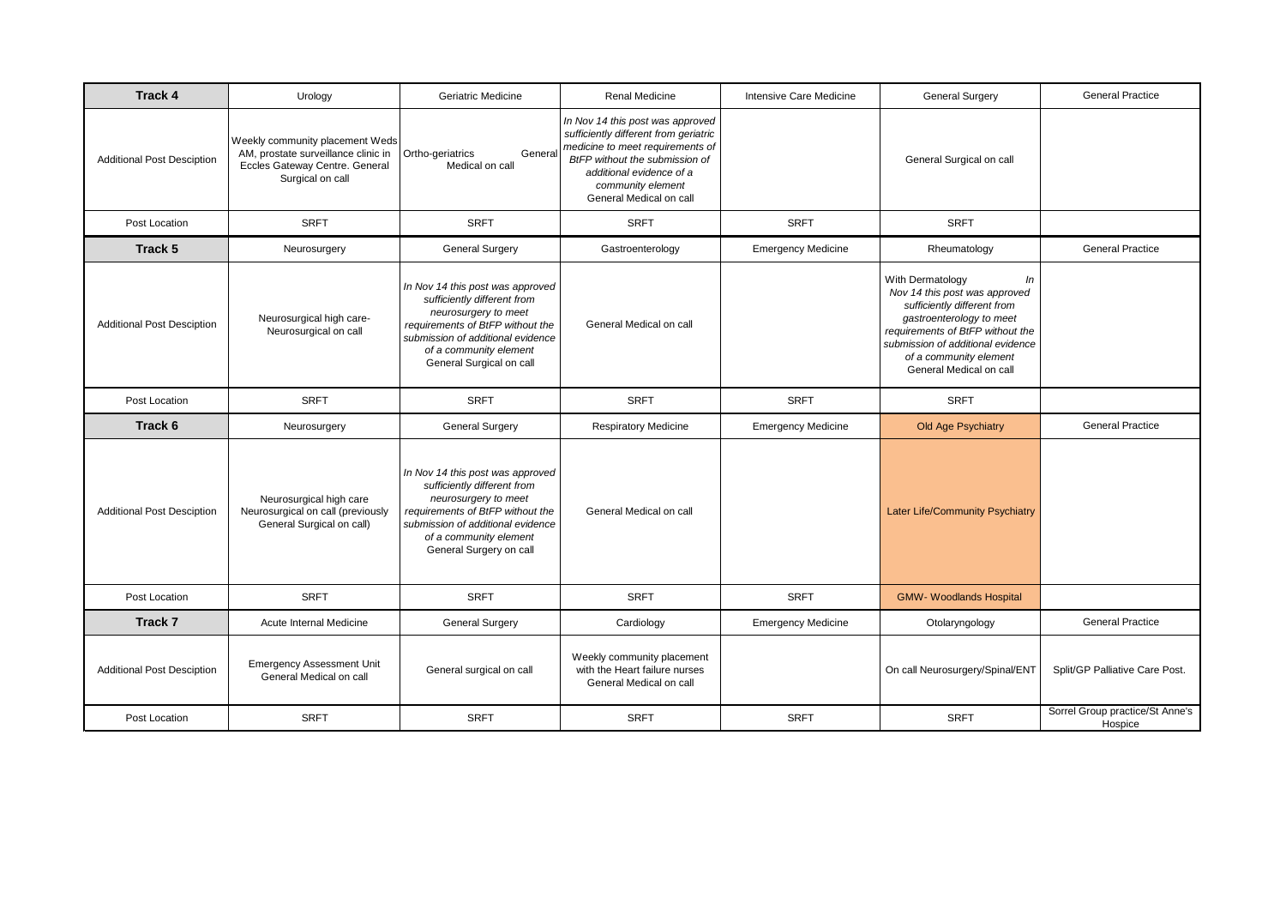| <b>Track 4</b>                    | Urology                                                                                                                      | Geriatric Medicine                                                                                                                                                                                                     | Renal Medicine                                                                                                                                                                                                              | Intensive Care Medicine   | <b>General Surgery</b>                                                                                                                                                                                                                           | <b>General Practice</b>                    |
|-----------------------------------|------------------------------------------------------------------------------------------------------------------------------|------------------------------------------------------------------------------------------------------------------------------------------------------------------------------------------------------------------------|-----------------------------------------------------------------------------------------------------------------------------------------------------------------------------------------------------------------------------|---------------------------|--------------------------------------------------------------------------------------------------------------------------------------------------------------------------------------------------------------------------------------------------|--------------------------------------------|
| <b>Additional Post Desciption</b> | Weekly community placement Weds<br>AM, prostate surveillance clinic in<br>Eccles Gateway Centre. General<br>Surgical on call | Ortho-geriatrics<br>General<br>Medical on call                                                                                                                                                                         | In Nov 14 this post was approved<br>sufficiently different from geriatric<br>medicine to meet requirements of<br>BtFP without the submission of<br>additional evidence of a<br>community element<br>General Medical on call |                           | General Surgical on call                                                                                                                                                                                                                         |                                            |
| Post Location                     | <b>SRFT</b>                                                                                                                  | <b>SRFT</b>                                                                                                                                                                                                            | <b>SRFT</b>                                                                                                                                                                                                                 | <b>SRFT</b>               | <b>SRFT</b>                                                                                                                                                                                                                                      |                                            |
| Track 5                           | Neurosurgery                                                                                                                 | <b>General Surgery</b>                                                                                                                                                                                                 | Gastroenterology                                                                                                                                                                                                            | <b>Emergency Medicine</b> | Rheumatology                                                                                                                                                                                                                                     | <b>General Practice</b>                    |
| <b>Additional Post Desciption</b> | Neurosurgical high care-<br>Neurosurgical on call                                                                            | In Nov 14 this post was approved<br>sufficiently different from<br>neurosurgery to meet<br>requirements of BtFP without the<br>submission of additional evidence<br>of a community element<br>General Surgical on call | General Medical on call                                                                                                                                                                                                     |                           | With Dermatology<br>In<br>Nov 14 this post was approved<br>sufficiently different from<br>gastroenterology to meet<br>requirements of BtFP without the<br>submission of additional evidence<br>of a community element<br>General Medical on call |                                            |
| Post Location                     | <b>SRFT</b>                                                                                                                  | <b>SRFT</b>                                                                                                                                                                                                            | <b>SRFT</b>                                                                                                                                                                                                                 | <b>SRFT</b>               | <b>SRFT</b>                                                                                                                                                                                                                                      |                                            |
| Track 6                           | Neurosurgery                                                                                                                 | <b>General Surgery</b>                                                                                                                                                                                                 | <b>Respiratory Medicine</b>                                                                                                                                                                                                 | <b>Emergency Medicine</b> | <b>Old Age Psychiatry</b>                                                                                                                                                                                                                        | <b>General Practice</b>                    |
| <b>Additional Post Desciption</b> | Neurosurgical high care<br>Neurosurgical on call (previously<br>General Surgical on call)                                    | In Nov 14 this post was approved<br>sufficiently different from<br>neurosurgery to meet<br>requirements of BtFP without the<br>submission of additional evidence<br>of a community element<br>General Surgery on call  | General Medical on call                                                                                                                                                                                                     |                           | <b>Later Life/Community Psychiatry</b>                                                                                                                                                                                                           |                                            |
| Post Location                     | <b>SRFT</b>                                                                                                                  | <b>SRFT</b>                                                                                                                                                                                                            | <b>SRFT</b>                                                                                                                                                                                                                 | <b>SRFT</b>               | <b>GMW- Woodlands Hospital</b>                                                                                                                                                                                                                   |                                            |
| Track 7                           | Acute Internal Medicine                                                                                                      | <b>General Surgery</b>                                                                                                                                                                                                 | Cardiology                                                                                                                                                                                                                  | <b>Emergency Medicine</b> | Otolaryngology                                                                                                                                                                                                                                   | <b>General Practice</b>                    |
| <b>Additional Post Desciption</b> | <b>Emergency Assessment Unit</b><br>General Medical on call                                                                  | General surgical on call                                                                                                                                                                                               | Weekly community placement<br>with the Heart failure nurses<br>General Medical on call                                                                                                                                      |                           | On call Neurosurgery/Spinal/ENT                                                                                                                                                                                                                  | Split/GP Palliative Care Post.             |
| Post Location                     | <b>SRFT</b>                                                                                                                  | <b>SRFT</b>                                                                                                                                                                                                            | <b>SRFT</b>                                                                                                                                                                                                                 | <b>SRFT</b>               | <b>SRFT</b>                                                                                                                                                                                                                                      | Sorrel Group practice/St Anne's<br>Hospice |